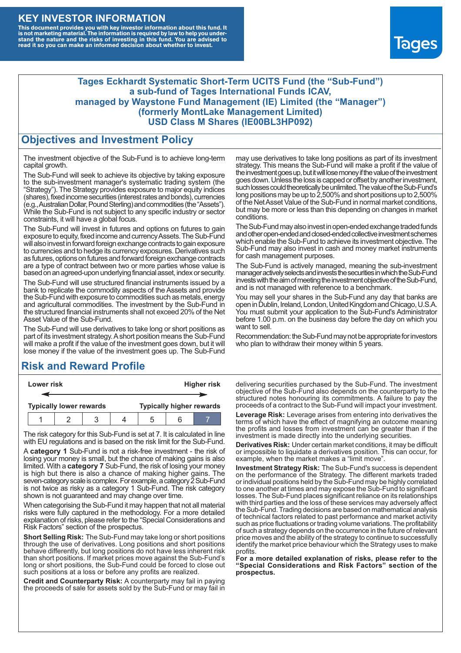### **KEY INVESTOR INFORMATION**

This document provides you with key investor information about this fund. It<br>is not marketing material. The information is required by law to help you under-<br>stand the nature and the risks of investing in this fund. You ar



#### **Tages Eckhardt Systematic Short-Term UCITS Fund (the "Sub-Fund") a sub-fund of Tages International Funds ICAV, managed by Waystone Fund Management (IE) Limited (the "Manager") (formerly MontLake Management Limited) USD Class M Shares (IE00BL3HP092)**

### **Objectives and Investment Policy**

The investment objective of the Sub-Fund is to achieve long-term capital growth.

The Sub-Fund will seek to achieve its objective by taking exposure to the sub-investment manager's systematic trading system (the "Strategy"). The Strategy provides exposure to major equity indices (shares),fixed income securities (interest rates and bonds), currencies (e.g.,AustralianDollar,PoundSterling)and commodities (the "Assets"). While the Sub-Fund is not subject to any specific industry or sector constraints, it will have a global focus.

The Sub-Fund will invest in futures and options on futures to gain exposure to equity, fixed income and currency Assets. The Sub-Fund will also invest in forward foreign exchange contracts to gain exposure to currencies and to hedge its currency exposures. Derivatives such as futures, options on futures and forward foreign exchange contracts are a type of contract between two or more parties whose value is based on an agreed-upon underlying financial asset, index or security.

The Sub-Fund will use structured financial instruments issued by a bank to replicate the commodity aspects of the Assets and provide the Sub-Fund with exposure to commodities such as metals, energy and agricultural commodities. The investment by the Sub-Fund in the structured financial instruments shall not exceed 20% of the Net Asset Value of the Sub-Fund.

The Sub-Fund will use derivatives to take long or short positions as part of its investment strategy.A short position means the Sub-Fund will make a profit if the value of the investment goes down, but it will lose money if the value of the investment goes up. The Sub-Fund

# **Risk and Reward Profile**

| Lower risk                     |  |  |  | <b>Higher risk</b>              |  |  |
|--------------------------------|--|--|--|---------------------------------|--|--|
|                                |  |  |  |                                 |  |  |
| <b>Typically lower rewards</b> |  |  |  | <b>Typically higher rewards</b> |  |  |
|                                |  |  |  | ۰.                              |  |  |

The risk category for this Sub-Fund is set at 7. It is calculated in line with EU regulations and is based on the risk limit for the Sub-Fund.

A **category 1** Sub-Fund is not a risk-free investment - the risk of losing your money is small, but the chance of making gains is also limited. With a **category 7** Sub-Fund, the risk of losing your money is high but there is also a chance of making higher gains. The seven-category scale is complex. For example, a category 2 Sub-Fund is not twice as risky as a category 1 Sub-Fund. The risk category shown is not guaranteed and may change over time.

When categorising the Sub-Fund it may happen that not all material risks were fully captured in the methodology. For a more detailed explanation of risks, please refer to the "Special Considerations and Risk Factors" section of the prospectus.

**Short Selling Risk:** The Sub-Fund may take long or short positions through the use of derivatives. Long positions and short positions behave differently, but long positions do not have less inherent risk than short positions. If market prices move against the Sub-Fund's long or short positions, the Sub-Fund could be forced to close out such positions at a loss or before any profits are realized.

**Credit and Counterparty Risk:** A counterparty may fail in paying the proceeds of sale for assets sold by the Sub-Fund or may fail in may use derivatives to take long positions as part of its investment strategy. This means the Sub-Fund will make a profit if the value of the investment goes up, but it will lose money if the value of the investment goes down. Unless the loss is capped or offset by another investment, such losses could theoretically be unlimited. The value of the Sub-Fund's long positions may be up to 2,500% and short positions up to 2,500% of the NetAsset Value of the Sub-Fund in normal market conditions, but may be more or less than this depending on changes in market conditions.

The Sub-Fund may also invest in open-ended exchange traded funds and other open-ended and closed-ended collective investment schemes which enable the Sub-Fund to achieve its investment objective. The Sub-Fund may also invest in cash and money market instruments for cash management purposes.

The Sub-Fund is actively managed, meaning the sub-investment manager actively selects and invests the securities in which the Sub-Fund invests with the aim of meeting the investment objective of the Sub-Fund, and is not managed with reference to a benchmark.

You may sell your shares in the Sub-Fund any day that banks are open in Dublin, Ireland, London, United Kingdom and Chicago, U.S.A. You must submit your application to the Sub-Fund's Administrator before 1.00 p.m. on the business day before the day on which you want to sell.

Recommendation: the Sub-Fund may not be appropriate for investors who plan to withdraw their money within 5 years.

delivering securities purchased by the Sub-Fund. The investment objective of the Sub-Fund also depends on the counterparty to the structured notes honouring its commitments. A failure to pay the proceeds of a contract to the Sub-Fund will impact your investment.

**Leverage Risk:** Leverage arises from entering into derivatives the terms of which have the effect of magnifying an outcome meaning the profits and losses from investment can be greater than if the investment is made directly into the underlying securities.

**Derivatives Risk:** Under certain market conditions, it may be difficult or impossible to liquidate a derivatives position. This can occur, for example, when the market makes a "limit move".

**Investment Strategy Risk:** The Sub-Fund's success is dependent on the performance of the Strategy. The different markets traded or individual positions held by the Sub-Fund may be highly correlated to one another at times and may expose the Sub-Fund to significant losses. The Sub-Fund places significant reliance on its relationships with third parties and the loss of these services may adversely affect the Sub-Fund. Trading decisions are based on mathematical analysis of technical factors related to past performance and market activity such as price fluctuations or trading volume variations. The profitability of such a strategy depends on the occurrence in the future of relevant price moves and the ability of the strategy to continue to successfully identify the market price behaviour which the Strategy uses to make profits.

**For a more detailed explanation of risks, please refer to the "Special Considerations and Risk Factors" section of the prospectus.**